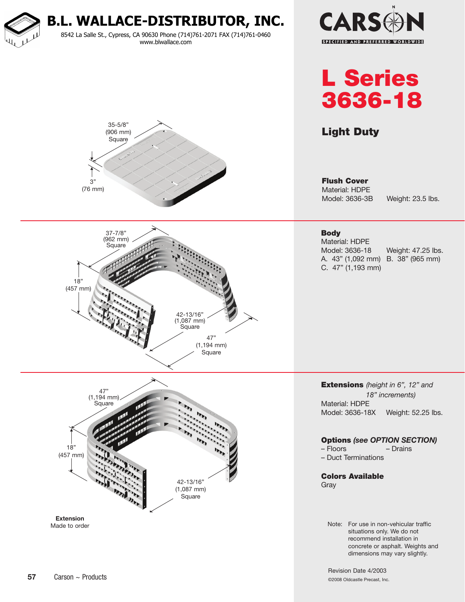

Revision Date 4/2003 ©2008 Oldcastle Precast, Inc.